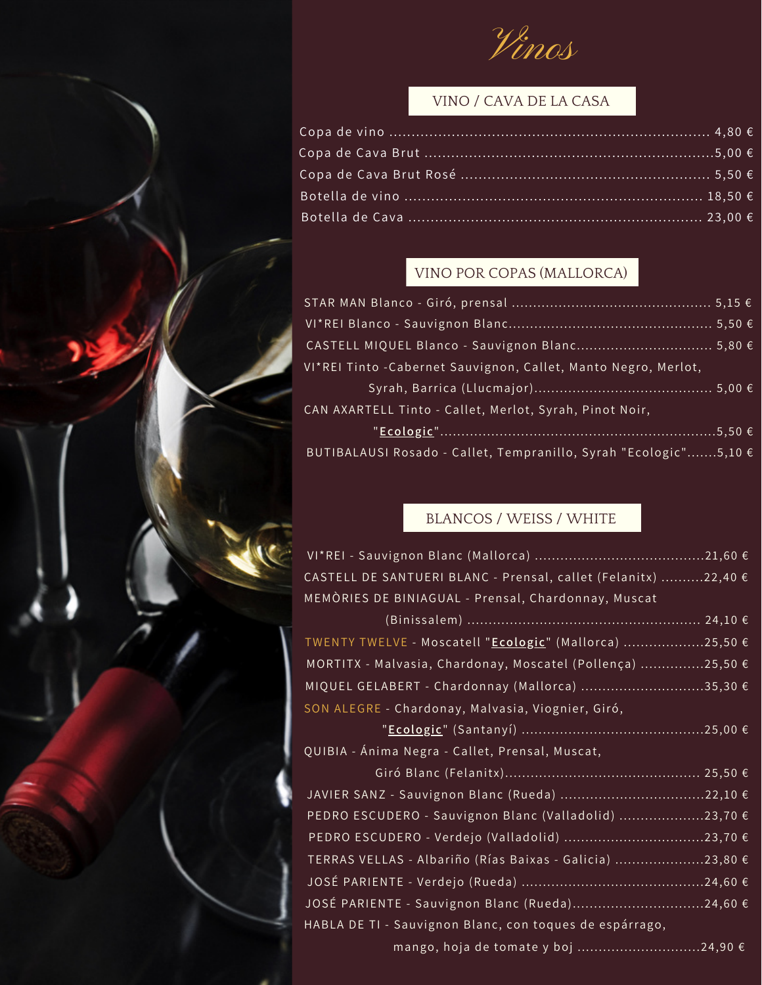Vinos

### VINO / CAVA DE LA CASA

# VINO POR COPAS (MALLORCA)

| CASTELL MIQUEL Blanco - Sauvignon Blanc 5,80 €                   |
|------------------------------------------------------------------|
| VI*REI Tinto - Cabernet Sauvignon, Callet, Manto Negro, Merlot,  |
|                                                                  |
| CAN AXARTELL Tinto - Callet, Merlot, Syrah, Pinot Noir,          |
|                                                                  |
| BUTIBALAUSI Rosado - Callet, Tempranillo, Syrah "Ecologic"5,10 € |

#### BLANCOS / WEISS / WHITE

| CASTELL DE SANTUERI BLANC - Prensal, callet (Felanitx) 22,40 € |
|----------------------------------------------------------------|
| MEMORIES DE BINIAGUAL - Prensal, Chardonnay, Muscat            |
|                                                                |
| TWENTY TWELVE - Moscatell "Ecologic" (Mallorca) 25,50 €        |
| MORTITX - Malvasia, Chardonay, Moscatel (Pollença) 25,50 €     |
| MIQUEL GELABERT - Chardonnay (Mallorca) 35,30 €                |
| SON ALEGRE - Chardonay, Malvasia, Viognier, Giró,              |
|                                                                |
| QUIBIA - Ánima Negra - Callet, Prensal, Muscat,                |
|                                                                |
|                                                                |
| PEDRO ESCUDERO - Sauvignon Blanc (Valladolid) 23,70 €          |
|                                                                |
| TERRAS VELLAS - Albariño (Rías Baixas - Galicia) 23,80 €       |
|                                                                |
|                                                                |
|                                                                |

mango, hoja de tomate y boj .............................24,90 €